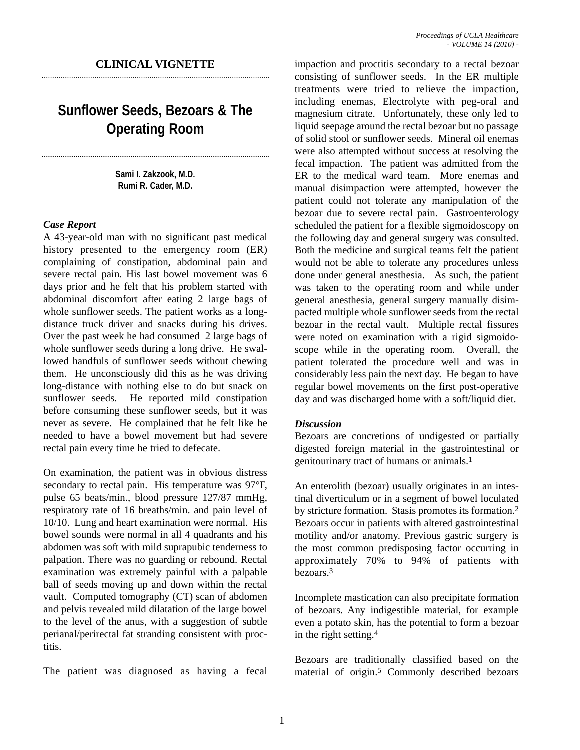## **CLINICAL VIGNETTE**

# **Sunflower Seeds, Bezoars & The Operating Room**

**Sami I. Zakzook, M.D. Rumi R. Cader, M.D.**

#### *Case Report*

A 43-year-old man with no significant past medical history presented to the emergency room (ER) complaining of constipation, abdominal pain and severe rectal pain. His last bowel movement was 6 days prior and he felt that his problem started with abdominal discomfort after eating 2 large bags of whole sunflower seeds. The patient works as a longdistance truck driver and snacks during his drives. Over the past week he had consumed 2 large bags of whole sunflower seeds during a long drive. He swallowed handfuls of sunflower seeds without chewing them. He unconsciously did this as he was driving long-distance with nothing else to do but snack on sunflower seeds. He reported mild constipation before consuming these sunflower seeds, but it was never as severe. He complained that he felt like he needed to have a bowel movement but had severe rectal pain every time he tried to defecate.

On examination, the patient was in obvious distress secondary to rectal pain. His temperature was 97°F, pulse 65 beats/min., blood pressure 127/87 mmHg, respiratory rate of 16 breaths/min. and pain level of 10/10. Lung and heart examination were normal. His bowel sounds were normal in all 4 quadrants and his abdomen was soft with mild suprapubic tenderness to palpation. There was no guarding or rebound. Rectal examination was extremely painful with a palpable ball of seeds moving up and down within the rectal vault. Computed tomography (CT) scan of abdomen and pelvis revealed mild dilatation of the large bowel to the level of the anus, with a suggestion of subtle perianal/perirectal fat stranding consistent with proctitis.

The patient was diagnosed as having a fecal

impaction and proctitis secondary to a rectal bezoar consisting of sunflower seeds. In the ER multiple treatments were tried to relieve the impaction, including enemas, Electrolyte with peg-oral and magnesium citrate. Unfortunately, these only led to liquid seepage around the rectal bezoar but no passage of solid stool or sunflower seeds. Mineral oil enemas were also attempted without success at resolving the fecal impaction. The patient was admitted from the ER to the medical ward team. More enemas and manual disimpaction were attempted, however the patient could not tolerate any manipulation of the bezoar due to severe rectal pain. Gastroenterology scheduled the patient for a flexible sigmoidoscopy on the following day and general surgery was consulted. Both the medicine and surgical teams felt the patient would not be able to tolerate any procedures unless done under general anesthesia. As such, the patient was taken to the operating room and while under general anesthesia, general surgery manually disimpacted multiple whole sunflower seeds from the rectal bezoar in the rectal vault. Multiple rectal fissures were noted on examination with a rigid sigmoidoscope while in the operating room. Overall, the patient tolerated the procedure well and was in considerably less pain the next day. He began to have regular bowel movements on the first post-operative day and was discharged home with a soft/liquid diet.

#### *Discussion*

Bezoars are concretions of undigested or partially digested foreign material in the gastrointestinal or genitourinary tract of humans or animals.1

An enterolith (bezoar) usually originates in an intestinal diverticulum or in a segment of bowel loculated by stricture formation. Stasis promotes its formation.2 Bezoars occur in patients with altered gastrointestinal motility and/or anatomy. Previous gastric surgery is the most common predisposing factor occurring in approximately 70% to 94% of patients with bezoars.3

Incomplete mastication can also precipitate formation of bezoars. Any indigestible material, for example even a potato skin, has the potential to form a bezoar in the right setting.4

Bezoars are traditionally classified based on the material of origin.5 Commonly described bezoars